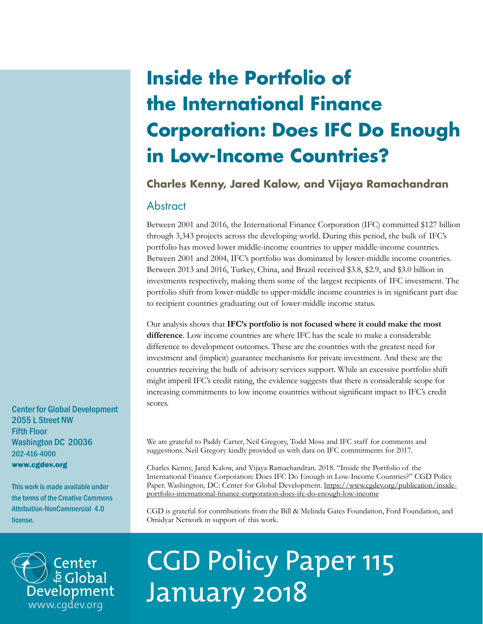## **Inside the Portfolio of the International Finance Corporation: Does IFC Do Enough in Low-Income Countries?**

## **Charles Kenny, Jared Kalow, and Vijaya Ramachandran**

### Abstract

Between 2001 and 2016, the International Finance Corporation (IFC) committed \$127 billion through 3,343 projects across the developing world. During this period, the bulk of IFC's portfolio has moved lower middle-income countries to upper middle-income countries. Between 2001 and 2004, IFC's portfolio was dominated by lower-middle income countries. Between 2013 and 2016, Turkey, China, and Brazil received \$3.8, \$2.9, and \$3.0 billion in investments respectively, making them some of the largest recipients of IFC investment. The portfolio shift from lower-middle to upper-middle income countries is in significant part due to recipient countries graduating out of lower-middle income status.

Our analysis shows that **IFC's portfolio is not focused where it could make the most difference**. Low income countries are where IFC has the scale to make a considerable difference to development outcomes. These are the countries with the greatest need for investment and (implicit) guarantee mechanisms for private investment. And these are the countries receiving the bulk of advisory services support. While an excessive portfolio shift might imperil IFC's credit rating, the evidence suggests that there is considerable scope for increasing commitments to low income countries without significant impact to IFC's credit scores.

We are grateful to Paddy Carter, Neil Gregory, Todd Moss and IFC staff for comments and suggestions. Neil Gregory kindly provided us with data on IFC commitments for 2017.

Charles Kenny, Jared Kalow, and Vijaya Ramachandran. 2018. "Inside the Portfolio of the International Finance Corporation: Does IFC Do Enough in Low-Income Countries?" CGD Policy Paper. Washington, DC: Center for Global Development. [https://www.cgdev.org/publication/inside](https://www.cgdev.org/publication/inside-portfolio-international-finance-corporation-does-ifc-do-enough-low-income)[portfolio-international-finance-corporation-does-ifc-do-enough-low-income](https://www.cgdev.org/publication/inside-portfolio-international-finance-corporation-does-ifc-do-enough-low-income)

CGD is grateful for contributions from the Bill & Melinda Gates Foundation, Ford Foundation, and Omidyar Network in support of this work.



# CGD Policy Paper 115 January 2018

Center for Global Development 2055 L Street NW Fifth Floor Washington DC 20036 202-416-4000 www.cgdev.org

This work is made available under the terms of the Creative Commons Attribution-NonCommercial 4.0 license.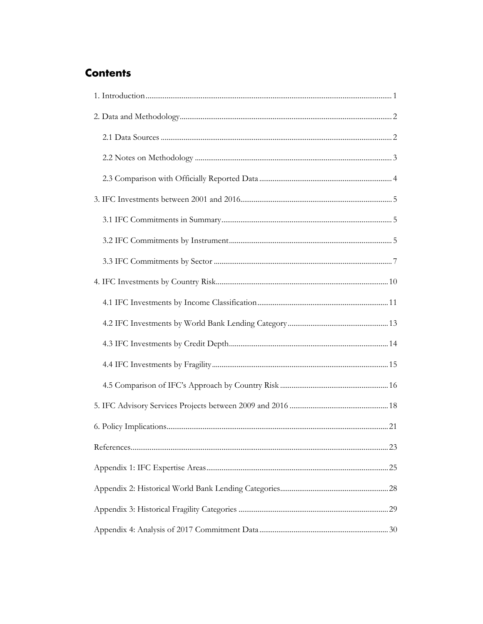## **Contents**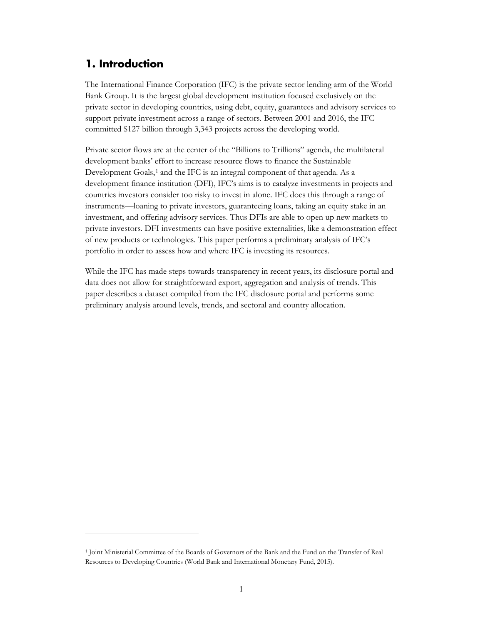## <span id="page-2-0"></span>**1. Introduction**

 $\overline{a}$ 

The International Finance Corporation (IFC) is the private sector lending arm of the World Bank Group. It is the largest global development institution focused exclusively on the private sector in developing countries, using debt, equity, guarantees and advisory services to support private investment across a range of sectors. Between 2001 and 2016, the IFC committed \$127 billion through 3,343 projects across the developing world.

Private sector flows are at the center of the "Billions to Trillions" agenda, the multilateral development banks' effort to increase resource flows to finance the Sustainable Development Goals,<sup>[1](#page-2-1)</sup> and the IFC is an integral component of that agenda. As a development finance institution (DFI), IFC's aims is to catalyze investments in projects and countries investors consider too risky to invest in alone. IFC does this through a range of instruments—loaning to private investors, guaranteeing loans, taking an equity stake in an investment, and offering advisory services. Thus DFIs are able to open up new markets to private investors. DFI investments can have positive externalities, like a demonstration effect of new products or technologies. This paper performs a preliminary analysis of IFC's portfolio in order to assess how and where IFC is investing its resources.

While the IFC has made steps towards transparency in recent years, its disclosure portal and data does not allow for straightforward export, aggregation and analysis of trends. This paper describes a dataset compiled from the IFC disclosure portal and performs some preliminary analysis around levels, trends, and sectoral and country allocation.

<span id="page-2-1"></span><sup>1</sup> Joint Ministerial Committee of the Boards of Governors of the Bank and the Fund on the Transfer of Real Resources to Developing Countries (World Bank and International Monetary Fund, 2015).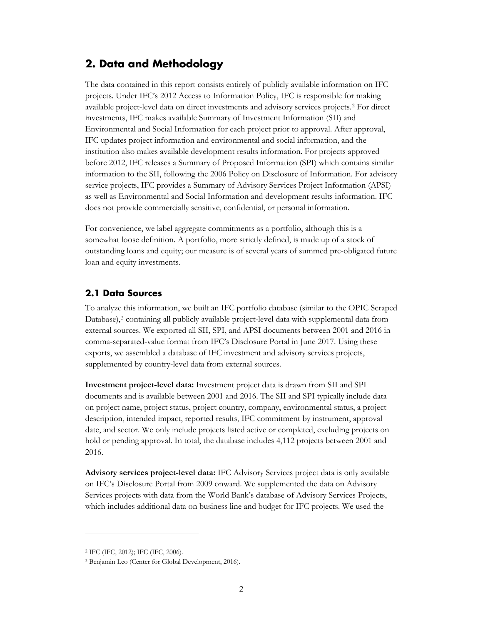## <span id="page-3-0"></span>**2. Data and Methodology**

The data contained in this report consists entirely of publicly available information on IFC projects. Under IFC's 2012 Access to Information Policy, IFC is responsible for making available project-level data on direct investments and advisory services projects.[2](#page-3-2) For direct investments, IFC makes available Summary of Investment Information (SII) and Environmental and Social Information for each project prior to approval. After approval, IFC updates project information and environmental and social information, and the institution also makes available development results information. For projects approved before 2012, IFC releases a Summary of Proposed Information (SPI) which contains similar information to the SII, following the 2006 Policy on Disclosure of Information. For advisory service projects, IFC provides a Summary of Advisory Services Project Information (APSI) as well as Environmental and Social Information and development results information. IFC does not provide commercially sensitive, confidential, or personal information.

For convenience, we label aggregate commitments as a portfolio, although this is a somewhat loose definition. A portfolio, more strictly defined, is made up of a stock of outstanding loans and equity; our measure is of several years of summed pre-obligated future loan and equity investments.

#### <span id="page-3-1"></span>**2.1 Data Sources**

To analyze this information, we built an IFC portfolio database (similar to the OPIC Scraped Database),<sup>[3](#page-3-3)</sup> containing all publicly available project-level data with supplemental data from external sources. We exported all SII, SPI, and APSI documents between 2001 and 2016 in comma-separated-value format from IFC's Disclosure Portal in June 2017. Using these exports, we assembled a database of IFC investment and advisory services projects, supplemented by country-level data from external sources.

**Investment project-level data:** Investment project data is drawn from SII and SPI documents and is available between 2001 and 2016. The SII and SPI typically include data on project name, project status, project country, company, environmental status, a project description, intended impact, reported results, IFC commitment by instrument, approval date, and sector. We only include projects listed active or completed, excluding projects on hold or pending approval. In total, the database includes 4,112 projects between 2001 and 2016.

**Advisory services project-level data:** IFC Advisory Services project data is only available on IFC's Disclosure Portal from 2009 onward. We supplemented the data on Advisory Services projects with data from the World Bank's database of Advisory Services Projects, which includes additional data on business line and budget for IFC projects. We used the

<span id="page-3-2"></span><sup>2</sup> IFC (IFC, 2012); IFC (IFC, 2006).

<span id="page-3-3"></span><sup>3</sup> Benjamin Leo (Center for Global Development, 2016).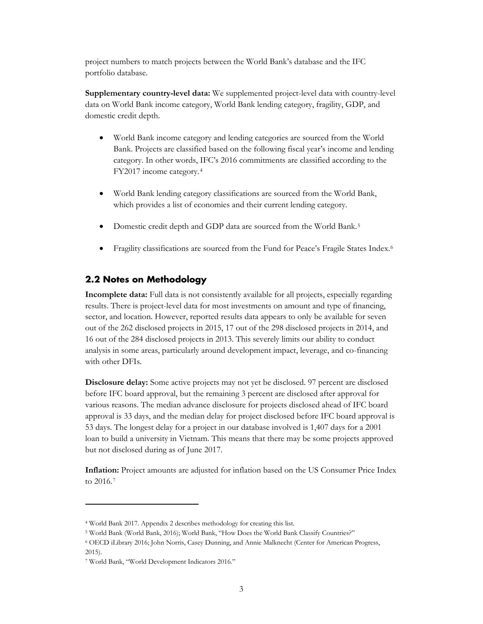project numbers to match projects between the World Bank's database and the IFC portfolio database.

**Supplementary country-level data:** We supplemented project-level data with country-level data on World Bank income category, World Bank lending category, fragility, GDP, and domestic credit depth.

- World Bank income category and lending categories are sourced from the World Bank. Projects are classified based on the following fiscal year's income and lending category. In other words, IFC's 2016 commitments are classified according to the FY2017 income category.[4](#page-4-1)
- World Bank lending category classifications are sourced from the World Bank, which provides a list of economies and their current lending category.
- Domestic credit depth and GDP data are sourced from the World Bank.[5](#page-4-2)
- Fragility classifications are sourced from the Fund for Peace's Fragile States Index.[6](#page-4-3)

#### <span id="page-4-0"></span>**2.2 Notes on Methodology**

**Incomplete data:** Full data is not consistently available for all projects, especially regarding results. There is project-level data for most investments on amount and type of financing, sector, and location. However, reported results data appears to only be available for seven out of the 262 disclosed projects in 2015, 17 out of the 298 disclosed projects in 2014, and 16 out of the 284 disclosed projects in 2013. This severely limits our ability to conduct analysis in some areas, particularly around development impact, leverage, and co-financing with other DFIs.

**Disclosure delay:** Some active projects may not yet be disclosed. 97 percent are disclosed before IFC board approval, but the remaining 3 percent are disclosed after approval for various reasons. The median advance disclosure for projects disclosed ahead of IFC board approval is 33 days, and the median delay for project disclosed before IFC board approval is 53 days. The longest delay for a project in our database involved is 1,407 days for a 2001 loan to build a university in Vietnam. This means that there may be some projects approved but not disclosed during as of June 2017.

**Inflation:** Project amounts are adjusted for inflation based on the US Consumer Price Index to 2016.[7](#page-4-4)

 $\ddot{\phantom{a}}$ 

<span id="page-4-1"></span><sup>4</sup> World Bank 2017. Appendix 2 describes methodology for creating this list.

<span id="page-4-2"></span><sup>5</sup> World Bank (World Bank, 2016); World Bank, "How Does the World Bank Classify Countries?"

<span id="page-4-3"></span><sup>6</sup> OECD iLibrary 2016; John Norris, Casey Dunning, and Annie Malknecht (Center for American Progress, 2015).

<span id="page-4-4"></span><sup>7</sup> World Bank, "World Development Indicators 2016."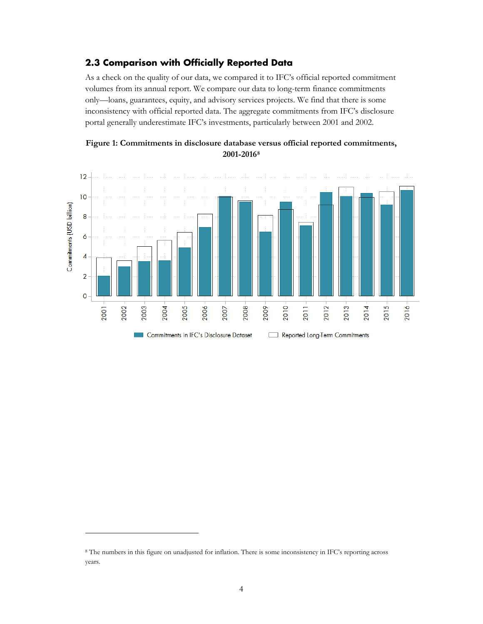#### <span id="page-5-0"></span>**2.3 Comparison with Officially Reported Data**

As a check on the quality of our data, we compared it to IFC's official reported commitment volumes from its annual report. We compare our data to long-term finance commitments only—loans, guarantees, equity, and advisory services projects. We find that there is some inconsistency with official reported data. The aggregate commitments from IFC's disclosure portal generally underestimate IFC's investments, particularly between 2001 and 2002.





<span id="page-5-1"></span><sup>8</sup> The numbers in this figure on unadjusted for inflation. There is some inconsistency in IFC's reporting across years.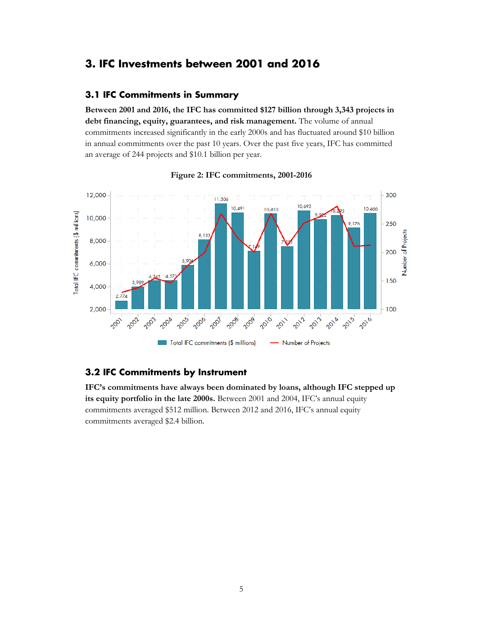## <span id="page-6-0"></span>**3. IFC Investments between 2001 and 2016**

#### <span id="page-6-1"></span>**3.1 IFC Commitments in Summary**

**Between 2001 and 2016, the IFC has committed \$127 billion through 3,343 projects in debt financing, equity, guarantees, and risk management.** The volume of annual commitments increased significantly in the early 2000s and has fluctuated around \$10 billion in annual commitments over the past 10 years. Over the past five years, IFC has committed an average of 244 projects and \$10.1 billion per year.



**Figure 2: IFC commitments, 2001-2016**

#### <span id="page-6-2"></span>**3.2 IFC Commitments by Instrument**

**IFC's commitments have always been dominated by loans, although IFC stepped up its equity portfolio in the late 2000s.** Between 2001 and 2004, IFC's annual equity commitments averaged \$512 million. Between 2012 and 2016, IFC's annual equity commitments averaged \$2.4 billion.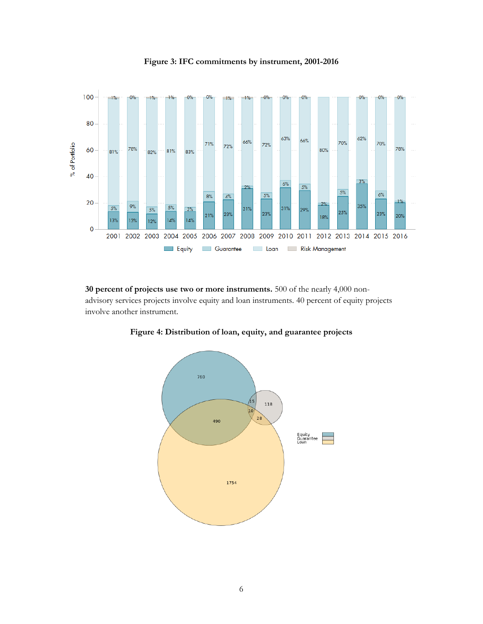

**Figure 3: IFC commitments by instrument, 2001-2016**

**30 percent of projects use two or more instruments.** 500 of the nearly 4,000 nonadvisory services projects involve equity and loan instruments. 40 percent of equity projects involve another instrument.



**Figure 4: Distribution of loan, equity, and guarantee projects**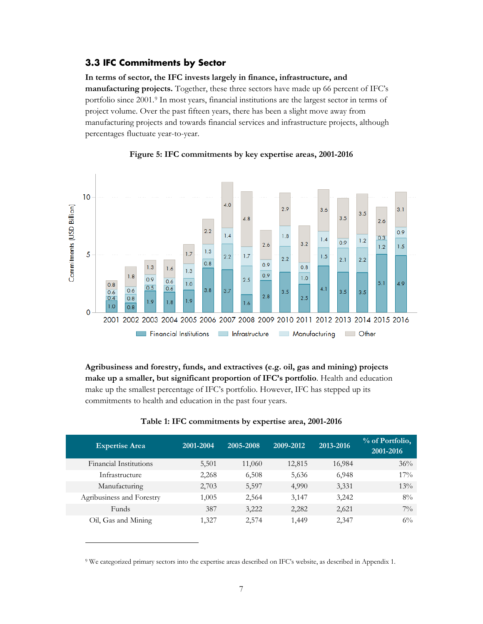#### <span id="page-8-0"></span>**3.3 IFC Commitments by Sector**

**In terms of sector, the IFC invests largely in finance, infrastructure, and manufacturing projects.** Together, these three sectors have made up 66 percent of IFC's portfolio since 2001.[9](#page-8-1) In most years, financial institutions are the largest sector in terms of project volume. Over the past fifteen years, there has been a slight move away from manufacturing projects and towards financial services and infrastructure projects, although percentages fluctuate year-to-year.



#### **Figure 5: IFC commitments by key expertise areas, 2001-2016**

**Agribusiness and forestry, funds, and extractives (e.g. oil, gas and mining) projects make up a smaller, but significant proportion of IFC's portfolio**. Health and education make up the smallest percentage of IFC's portfolio. However, IFC has stepped up its commitments to health and education in the past four years.

| <b>Expertise Area</b>     | 2001-2004 | 2005-2008 | 2009-2012 | 2013-2016 | % of Portfolio,<br>2001-2016 |
|---------------------------|-----------|-----------|-----------|-----------|------------------------------|
| Financial Institutions    | 5,501     | 11,060    | 12,815    | 16,984    | 36%                          |
| Infrastructure            | 2,268     | 6,508     | 5,636     | 6,948     | $17\%$                       |
| Manufacturing             | 2,703     | 5,597     | 4,990     | 3,331     | $13\%$                       |
| Agribusiness and Forestry | 1,005     | 2,564     | 3,147     | 3,242     | $8\%$                        |
| Funds                     | 387       | 3,222     | 2,282     | 2,621     | $7\%$                        |
| Oil, Gas and Mining       | 1,327     | 2,574     | 1,449     | 2,347     | $6\%$                        |

#### **Table 1: IFC commitments by expertise area, 2001-2016**

<span id="page-8-1"></span><sup>9</sup> We categorized primary sectors into the expertise areas described on IFC's website, as described in Appendix 1.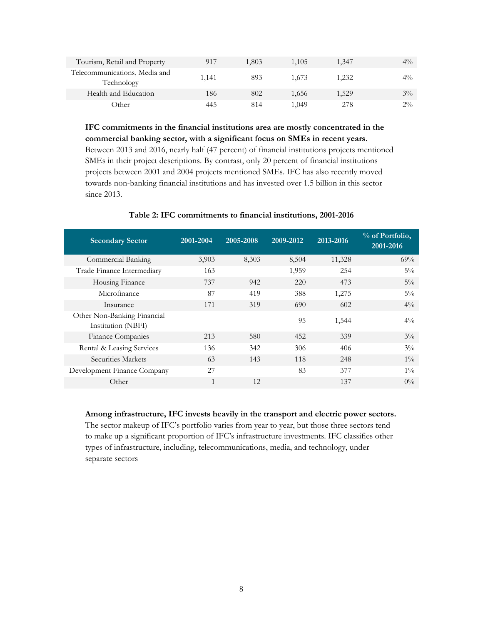| Tourism, Retail and Property                | 917   | 1,803 | 1.105 | 1,347 | $4\%$ |
|---------------------------------------------|-------|-------|-------|-------|-------|
| Telecommunications, Media and<br>Technology | 1,141 | 893   | 1.673 | 1,232 | $4\%$ |
| Health and Education                        | 186   | 802   | 1.656 | 1,529 | $3\%$ |
| Other                                       | 445   | 814   | 1.049 | 278   | $2\%$ |

**IFC commitments in the financial institutions area are mostly concentrated in the commercial banking sector, with a significant focus on SMEs in recent years.**

Between 2013 and 2016, nearly half (47 percent) of financial institutions projects mentioned SMEs in their project descriptions. By contrast, only 20 percent of financial institutions projects between 2001 and 2004 projects mentioned SMEs. IFC has also recently moved towards non-banking financial institutions and has invested over 1.5 billion in this sector since 2013.

| <b>Secondary Sector</b>                           | 2001-2004 | 2005-2008 | 2009-2012 | 2013-2016 | % of Portfolio,<br>2001-2016 |
|---------------------------------------------------|-----------|-----------|-----------|-----------|------------------------------|
| Commercial Banking                                | 3,903     | 8,303     | 8,504     | 11,328    | 69%                          |
| Trade Finance Intermediary                        | 163       |           | 1,959     | 254       | $5\%$                        |
| Housing Finance                                   | 737       | 942       | 220       | 473       | $5\%$                        |
| Microfinance                                      | 87        | 419       | 388       | 1,275     | $5\%$                        |
| Insurance                                         | 171       | 319       | 690       | 602       | $4\%$                        |
| Other Non-Banking Financial<br>Institution (NBFI) |           |           | 95        | 1,544     | $4\%$                        |
| Finance Companies                                 | 213       | 580       | 452       | 339       | $3\%$                        |
| Rental & Leasing Services                         | 136       | 342       | 306       | 406       | $3\%$                        |
| Securities Markets                                | 63        | 143       | 118       | 248       | $1\%$                        |
| Development Finance Company                       | 27        |           | 83        | 377       | $1\%$                        |
| Other                                             | 1         | 12        |           | 137       | $0\%$                        |

#### **Table 2: IFC commitments to financial institutions, 2001-2016**

**Among infrastructure, IFC invests heavily in the transport and electric power sectors.** 

The sector makeup of IFC's portfolio varies from year to year, but those three sectors tend to make up a significant proportion of IFC's infrastructure investments. IFC classifies other types of infrastructure, including, telecommunications, media, and technology, under separate sectors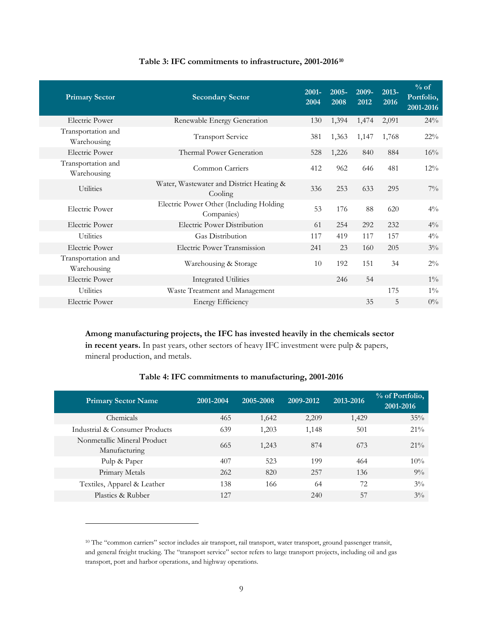| <b>Primary Sector</b>             | <b>Secondary Sector</b>                               | $2001 -$<br>2004 | $2005 -$<br>2008 | 2009-<br>2012 | 2013-<br>2016 | $%$ of<br>Portfolio,<br>2001-2016 |
|-----------------------------------|-------------------------------------------------------|------------------|------------------|---------------|---------------|-----------------------------------|
| Electric Power                    | Renewable Energy Generation                           | 130              | 1,394            | 1,474         | 2,091         | 24%                               |
| Transportation and<br>Warehousing | <b>Transport Service</b>                              | 381              | 1,363            | 1,147         | 1,768         | $22\%$                            |
| <b>Electric Power</b>             | Thermal Power Generation                              | 528              | 1,226            | 840           | 884           | 16%                               |
| Transportation and<br>Warehousing | Common Carriers                                       | 412              | 962              | 646           | 481           | $12\%$                            |
| <b>Utilities</b>                  | Water, Wastewater and District Heating &<br>Cooling   | 336              | 253              | 633           | 295           | $7\%$                             |
| <b>Electric Power</b>             | Electric Power Other (Including Holding<br>Companies) | 53               | 176              | 88            | 620           | $4\%$                             |
| <b>Electric Power</b>             | Electric Power Distribution                           | 61               | 254              | 292           | 232           | $4\%$                             |
| <b>Utilities</b>                  | <b>Gas Distribution</b>                               | 117              | 419              | 117           | 157           | $4\%$                             |
| <b>Electric Power</b>             | Electric Power Transmission                           | 241              | 23               | 160           | 205           | $3\%$                             |
| Transportation and<br>Warehousing | Warehousing & Storage                                 | 10               | 192              | 151           | 34            | $2\%$                             |
| <b>Electric Power</b>             | <b>Integrated Utilities</b>                           |                  | 246              | 54            |               | $1\%$                             |
| <b>Utilities</b>                  | Waste Treatment and Management                        |                  |                  |               | 175           | $1\%$                             |
| <b>Electric Power</b>             | <b>Energy Efficiency</b>                              |                  |                  | 35            | 5             | $0\%$                             |

#### **Table 3: IFC commitments to infrastructure, 2001-2016[10](#page-10-0)**

**Among manufacturing projects, the IFC has invested heavily in the chemicals sector in recent years.** In past years, other sectors of heavy IFC investment were pulp & papers, mineral production, and metals.

| Table 4: IFC commitments to manufacturing, 2001-2016 |  |
|------------------------------------------------------|--|
|------------------------------------------------------|--|

| <b>Primary Sector Name</b>                   | 2001-2004 | 2005-2008 | 2009-2012 | 2013-2016 | % of Portfolio,<br>2001-2016 |
|----------------------------------------------|-----------|-----------|-----------|-----------|------------------------------|
| Chemicals                                    | 465       | 1,642     | 2,209     | 1,429     | 35%                          |
| Industrial & Consumer Products               | 639       | 1,203     | 1,148     | 501       | $21\%$                       |
| Nonmetallic Mineral Product<br>Manufacturing | 665       | 1,243     | 874       | 673       | $21\%$                       |
| Pulp & Paper                                 | 407       | 523       | 199       | 464       | 10%                          |
| Primary Metals                               | 262       | 820       | 257       | 136       | $9\%$                        |
| Textiles, Apparel & Leather                  | 138       | 166       | 64        | 72        | $3\%$                        |
| Plastics & Rubber                            | 127       |           | 240       | 57        | $3\%$                        |

 $\ddot{\phantom{a}}$ 

<span id="page-10-0"></span><sup>10</sup> The "common carriers" sector includes air transport, rail transport, water transport, ground passenger transit, and general freight trucking. The "transport service" sector refers to large transport projects, including oil and gas transport, port and harbor operations, and highway operations.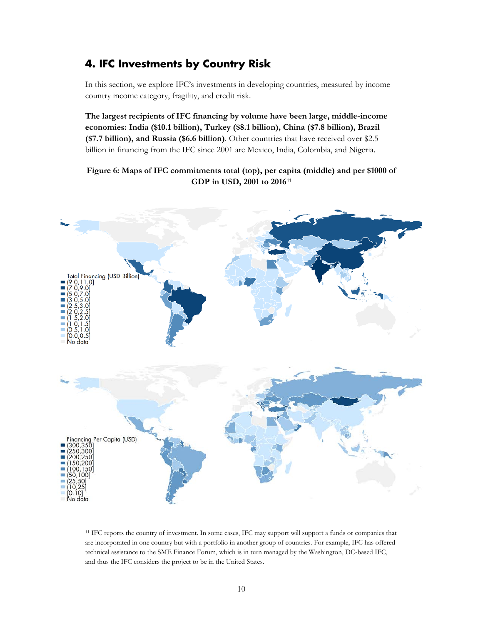## <span id="page-11-0"></span>**4. IFC Investments by Country Risk**

In this section, we explore IFC's investments in developing countries, measured by income country income category, fragility, and credit risk.

**The largest recipients of IFC financing by volume have been large, middle-income economies: India (\$10.1 billion), Turkey (\$8.1 billion), China (\$7.8 billion), Brazil (\$7.7 billion), and Russia (\$6.6 billion)**. Other countries that have received over \$2.5 billion in financing from the IFC since 2001 are Mexico, India, Colombia, and Nigeria.

**Figure 6: Maps of IFC commitments total (top), per capita (middle) and per \$1000 of GDP in USD, 2001 to 2016[11](#page-11-1)**



<span id="page-11-1"></span><sup>11</sup> IFC reports the country of investment. In some cases, IFC may support will support a funds or companies that are incorporated in one country but with a portfolio in another group of countries. For example, IFC has offered technical assistance to the SME Finance Forum, which is in turn managed by the Washington, DC-based IFC, and thus the IFC considers the project to be in the United States.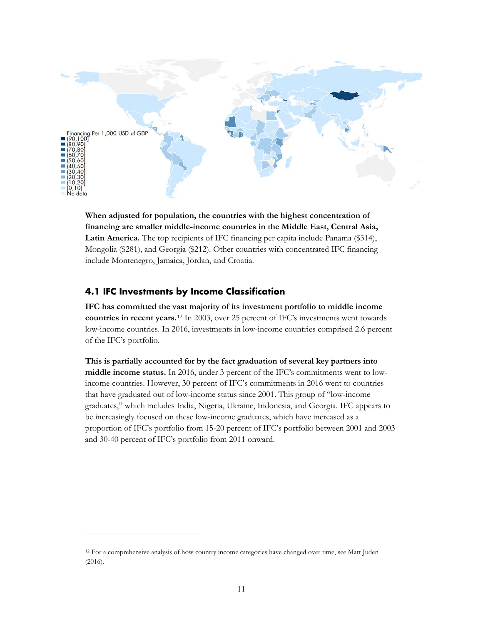

**When adjusted for population, the countries with the highest concentration of financing are smaller middle-income countries in the Middle East, Central Asia, Latin America.** The top recipients of IFC financing per capita include Panama (\$314), Mongolia (\$281), and Georgia (\$212). Other countries with concentrated IFC financing include Montenegro, Jamaica, Jordan, and Croatia.

#### <span id="page-12-0"></span>**4.1 IFC Investments by Income Classification**

 $\overline{a}$ 

**IFC has committed the vast majority of its investment portfolio to middle income countries in recent years.**[12](#page-12-1) In 2003, over 25 percent of IFC's investments went towards low-income countries. In 2016, investments in low-income countries comprised 2.6 percent of the IFC's portfolio.

**This is partially accounted for by the fact graduation of several key partners into middle income status.** In 2016, under 3 percent of the IFC's commitments went to lowincome countries. However, 30 percent of IFC's commitments in 2016 went to countries that have graduated out of low-income status since 2001. This group of "low-income graduates," which includes India, Nigeria, Ukraine, Indonesia, and Georgia. IFC appears to be increasingly focused on these low-income graduates, which have increased as a proportion of IFC's portfolio from 15-20 percent of IFC's portfolio between 2001 and 2003 and 30-40 percent of IFC's portfolio from 2011 onward.

<span id="page-12-1"></span><sup>12</sup> For a comprehensive analysis of how country income categories have changed over time, see Matt Juden (2016).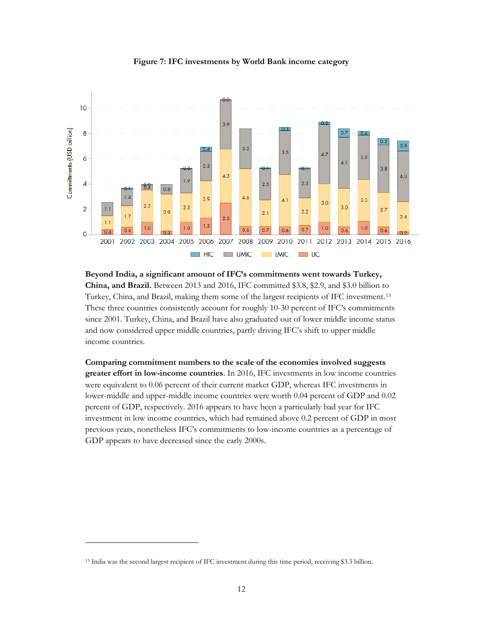

#### **Figure 7: IFC investments by World Bank income category**

**Beyond India, a significant amount of IFC's commitments went towards Turkey, China, and Brazil.** Between 2013 and 2016, IFC committed \$3.8, \$2.9, and \$3.0 billion to Turkey, China, and Brazil, making them some of the largest recipients of IFC investment.[13](#page-13-0) These three countries consistently account for roughly 10-30 percent of IFC's commitments since 2001. Turkey, China, and Brazil have also graduated out of lower middle income status and now considered upper middle countries, partly driving IFC's shift to upper middle income countries.

**Comparing commitment numbers to the scale of the economies involved suggests greater effort in low-income countries**. In 2016, IFC investments in low income countries were equivalent to 0.06 percent of their current market GDP, whereas IFC investments in lower-middle and upper-middle income countries were worth 0.04 percent of GDP and 0.02 percent of GDP, respectively. 2016 appears to have been a particularly bad year for IFC investment in low income countries, which had remained above 0.2 percent of GDP in most previous years, nonetheless IFC's commitments to low-income countries as a percentage of GDP appears to have decreased since the early 2000s.

<span id="page-13-0"></span><sup>13</sup> India was the second largest recipient of IFC investment during this time period, receiving \$3.3 billion.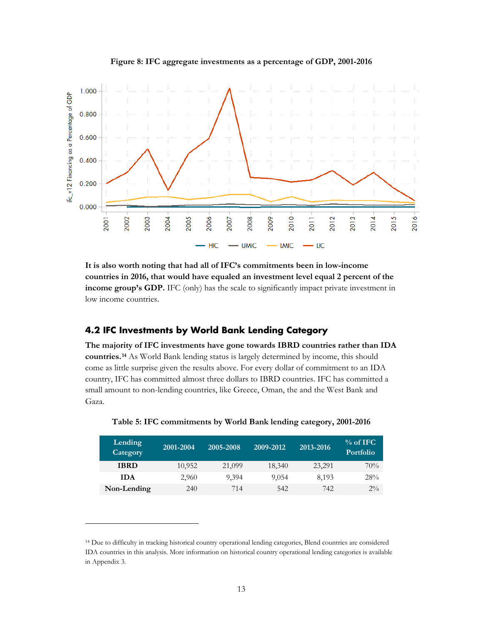

**Figure 8: IFC aggregate investments as a percentage of GDP, 2001-2016**

**It is also worth noting that had all of IFC's commitments been in low-income countries in 2016, that would have equaled an investment level equal 2 percent of the income group's GDP.** IFC (only) has the scale to significantly impact private investment in low income countries.

#### <span id="page-14-0"></span>**4.2 IFC Investments by World Bank Lending Category**

**The majority of IFC investments have gone towards IBRD countries rather than IDA countries.[14](#page-14-1)** As World Bank lending status is largely determined by income, this should come as little surprise given the results above. For every dollar of commitment to an IDA country, IFC has committed almost three dollars to IBRD countries. IFC has committed a small amount to non-lending countries, like Greece, Oman, the and the West Bank and Gaza.

| Lending<br>Category | 2001-2004 | 2005-2008 | 2009-2012 | 2013-2016 | $%$ of IFC<br><b>Portfolio</b> |
|---------------------|-----------|-----------|-----------|-----------|--------------------------------|
| <b>IBRD</b>         | 10,952    | 21,099    | 18,340    | 23,291    | 70%                            |
| <b>IDA</b>          | 2,960     | 9.394     | 9,054     | 8,193     | 28%                            |
| Non-Lending         | 240       | 714       | 542       | 742       | $2\%$                          |

**Table 5: IFC commitments by World Bank lending category, 2001-2016**

 $\ddot{\phantom{a}}$ 

<span id="page-14-1"></span><sup>14</sup> Due to difficulty in tracking historical country operational lending categories, Blend countries are considered IDA countries in this analysis. More information on historical country operational lending categories is available in Appendix 3.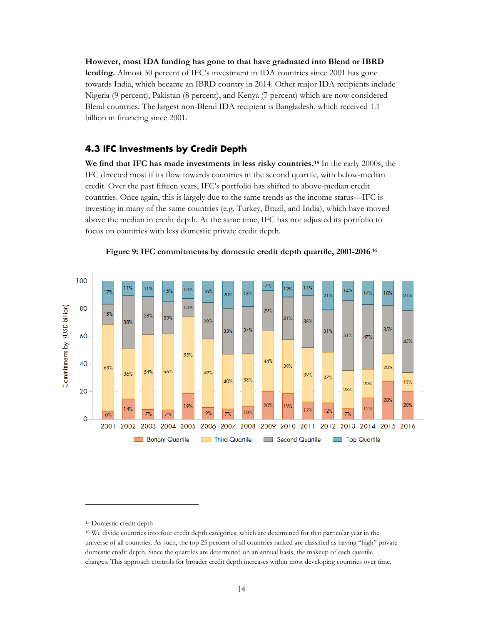**However, most IDA funding has gone to that have graduated into Blend or IBRD lending.** Almost 30 percent of IFC's investment in IDA countries since 2001 has gone towards India, which became an IBRD country in 2014. Other major IDA recipients include Nigeria (9 percent), Pakistan (8 percent), and Kenya (7 percent) which are now considered Blend countries. The largest non-Blend IDA recipient is Bangladesh, which received 1.1 billion in financing since 2001.

#### <span id="page-15-0"></span>**4.3 IFC Investments by Credit Depth**

**We find that IFC has made investments in less risky countries.[15](#page-15-1)** In the early 2000s, the IFC directed most if its flow towards countries in the second quartile, with below-median credit. Over the past fifteen years, IFC's portfolio has shifted to above-median credit countries. Once again, this is largely due to the same trends as the income status—IFC is investing in many of the same countries (e.g. Turkey, Brazil, and India), which have moved above the median in credit depth. At the same time, IFC has not adjusted its portfolio to focus on countries with less domestic private credit depth.



**Figure 9: IFC commitments by domestic credit depth quartile, 2001-2016 [16](#page-15-2)**

 $\ddot{\phantom{a}}$ 

<sup>15</sup> Domestic credit depth

<span id="page-15-2"></span><span id="page-15-1"></span><sup>16</sup> We divide countries into four credit depth categories, which are determined for that particular year in the universe of all countries. As such, the top 25 percent of all countries ranked are classified as having "high" private domestic credit depth. Since the quartiles are determined on an annual basis, the makeup of each quartile changes. This approach controls for broader credit depth increases within most developing countries over time.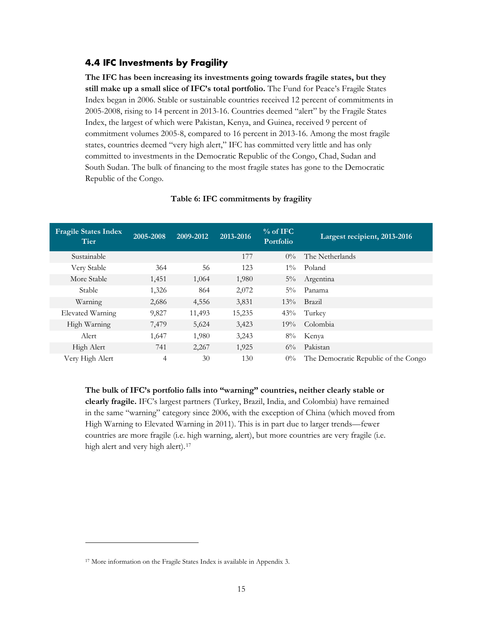#### <span id="page-16-0"></span>**4.4 IFC Investments by Fragility**

**The IFC has been increasing its investments going towards fragile states, but they still make up a small slice of IFC's total portfolio.** The Fund for Peace's Fragile States Index began in 2006. Stable or sustainable countries received 12 percent of commitments in 2005-2008, rising to 14 percent in 2013-16. Countries deemed "alert" by the Fragile States Index, the largest of which were Pakistan, Kenya, and Guinea, received 9 percent of commitment volumes 2005-8, compared to 16 percent in 2013-16. Among the most fragile states, countries deemed "very high alert," IFC has committed very little and has only committed to investments in the Democratic Republic of the Congo, Chad, Sudan and South Sudan. The bulk of financing to the most fragile states has gone to the Democratic Republic of the Congo.

| <b>Fragile States Index</b><br><b>Tier</b> | 2005-2008 | 2009-2012 | 2013-2016 | $%$ of IFC<br>Portfolio | Largest recipient, 2013-2016         |
|--------------------------------------------|-----------|-----------|-----------|-------------------------|--------------------------------------|
| Sustainable                                |           |           | 177       | $0\%$                   | The Netherlands                      |
| Very Stable                                | 364       | 56        | 123       | $1\%$                   | Poland                               |
| More Stable                                | 1,451     | 1,064     | 1,980     | $5\%$                   | Argentina                            |
| Stable                                     | 1,326     | 864       | 2,072     | $5\%$                   | Panama                               |
| Warning                                    | 2,686     | 4,556     | 3,831     | $13\%$                  | Brazil                               |
| Elevated Warning                           | 9,827     | 11,493    | 15,235    | 43%                     | Turkey                               |
| High Warning                               | 7,479     | 5,624     | 3,423     | 19%                     | Colombia                             |
| Alert                                      | 1,647     | 1,980     | 3,243     | $8\%$                   | Kenya                                |
| High Alert                                 | 741       | 2,267     | 1,925     | $6\%$                   | Pakistan                             |
| Very High Alert                            | 4         | 30        | 130       | $0\%$                   | The Democratic Republic of the Congo |

#### **Table 6: IFC commitments by fragility**

**The bulk of IFC's portfolio falls into "warning" countries, neither clearly stable or clearly fragile.** IFC's largest partners (Turkey, Brazil, India, and Colombia) have remained in the same "warning" category since 2006, with the exception of China (which moved from High Warning to Elevated Warning in 2011). This is in part due to larger trends—fewer countries are more fragile (i.e. high warning, alert), but more countries are very fragile (i.e. high alert and very high alert).<sup>[17](#page-16-1)</sup>

<span id="page-16-1"></span><sup>17</sup> More information on the Fragile States Index is available in Appendix 3.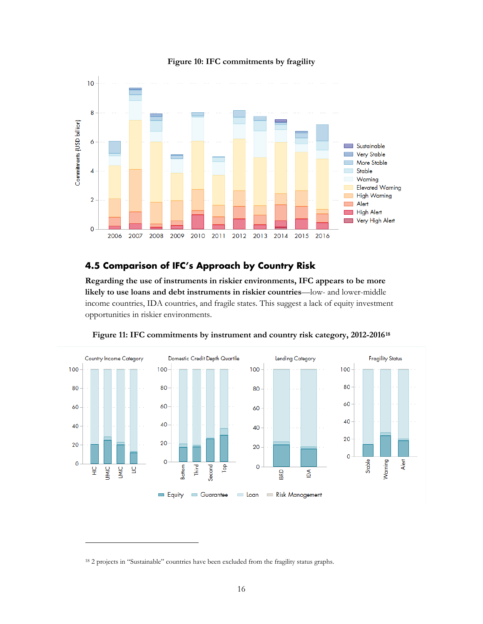

#### **Figure 10: IFC commitments by fragility**

#### <span id="page-17-0"></span>**4.5 Comparison of IFC's Approach by Country Risk**

**Regarding the use of instruments in riskier environments, IFC appears to be more likely to use loans and debt instruments in riskier countries**—low- and lower-middle income countries, IDA countries, and fragile states. This suggest a lack of equity investment opportunities in riskier environments.



**Figure 11: IFC commitments by instrument and country risk category, 2012-2016[18](#page-17-1)**

<span id="page-17-1"></span><sup>&</sup>lt;sup>18</sup> 2 projects in "Sustainable" countries have been excluded from the fragility status graphs.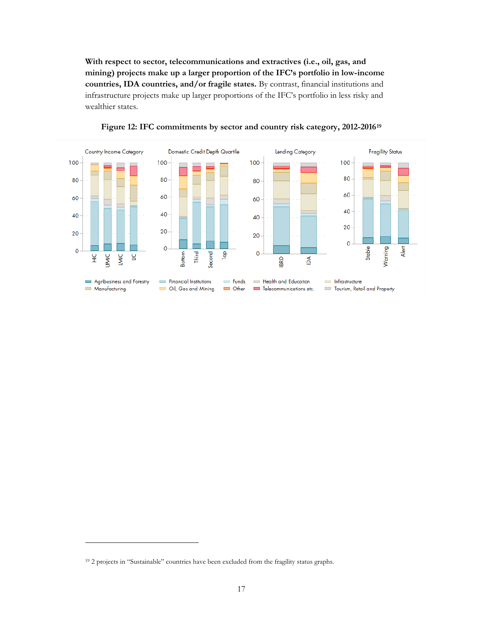**With respect to sector, telecommunications and extractives (i.e., oil, gas, and mining) projects make up a larger proportion of the IFC's portfolio in low-income countries, IDA countries, and/or fragile states.** By contrast, financial institutions and infrastructure projects make up larger proportions of the IFC's portfolio in less risky and wealthier states.





<span id="page-18-0"></span><sup>19</sup> 2 projects in "Sustainable" countries have been excluded from the fragility status graphs.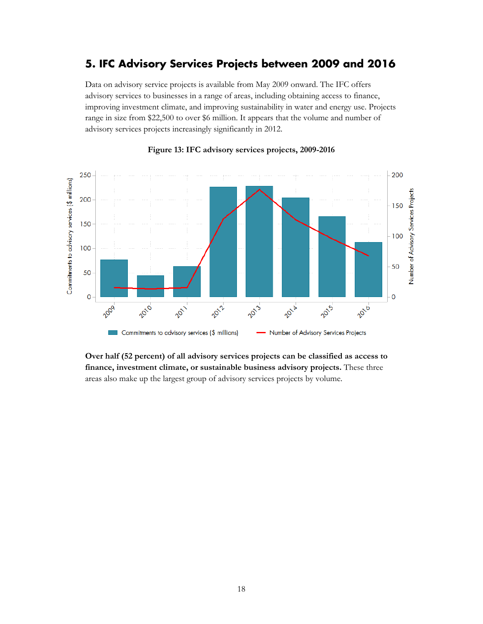## <span id="page-19-0"></span>**5. IFC Advisory Services Projects between 2009 and 2016**

Data on advisory service projects is available from May 2009 onward. The IFC offers advisory services to businesses in a range of areas, including obtaining access to finance, improving investment climate, and improving sustainability in water and energy use. Projects range in size from \$22,500 to over \$6 million. It appears that the volume and number of advisory services projects increasingly significantly in 2012.



#### **Figure 13: IFC advisory services projects, 2009-2016**

**Over half (52 percent) of all advisory services projects can be classified as access to finance, investment climate, or sustainable business advisory projects.** These three areas also make up the largest group of advisory services projects by volume.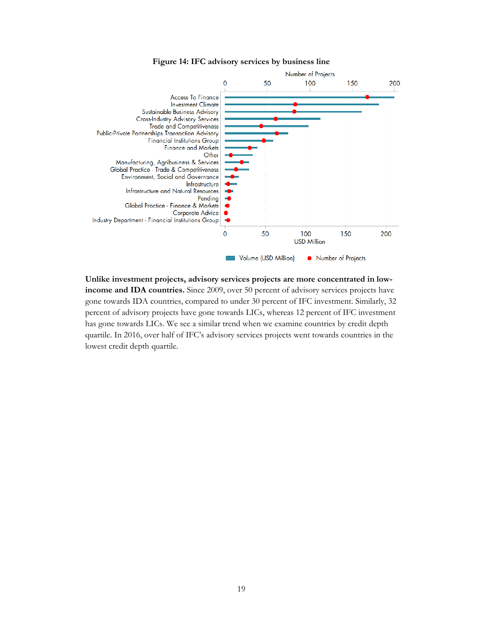



**Unlike investment projects, advisory services projects are more concentrated in lowincome and IDA countries.** Since 2009, over 50 percent of advisory services projects have gone towards IDA countries, compared to under 30 percent of IFC investment. Similarly, 32 percent of advisory projects have gone towards LICs, whereas 12 percent of IFC investment has gone towards LICs. We see a similar trend when we examine countries by credit depth quartile. In 2016, over half of IFC's advisory services projects went towards countries in the lowest credit depth quartile.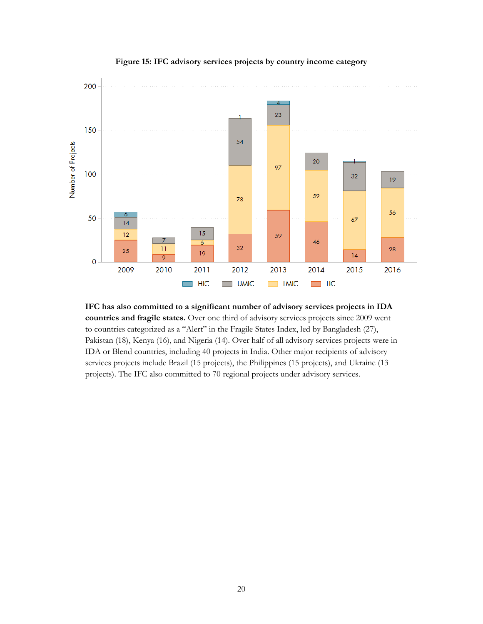

**Figure 15: IFC advisory services projects by country income category** 

**IFC has also committed to a significant number of advisory services projects in IDA countries and fragile states.** Over one third of advisory services projects since 2009 went to countries categorized as a "Alert" in the Fragile States Index, led by Bangladesh (27), Pakistan (18), Kenya (16), and Nigeria (14). Over half of all advisory services projects were in IDA or Blend countries, including 40 projects in India. Other major recipients of advisory services projects include Brazil (15 projects), the Philippines (15 projects), and Ukraine (13 projects). The IFC also committed to 70 regional projects under advisory services.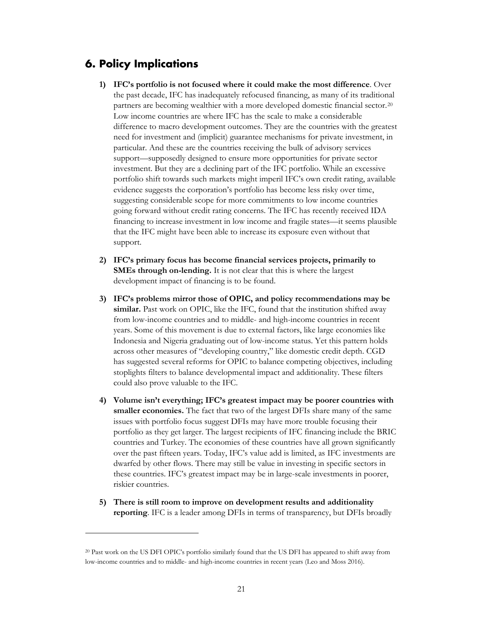## <span id="page-22-0"></span>**6. Policy Implications**

- **1) IFC's portfolio is not focused where it could make the most difference**. Over the past decade, IFC has inadequately refocused financing, as many of its traditional partners are becoming wealthier with a more developed domestic financial sector.[20](#page-22-1) Low income countries are where IFC has the scale to make a considerable difference to macro development outcomes. They are the countries with the greatest need for investment and (implicit) guarantee mechanisms for private investment, in particular. And these are the countries receiving the bulk of advisory services support—supposedly designed to ensure more opportunities for private sector investment. But they are a declining part of the IFC portfolio. While an excessive portfolio shift towards such markets might imperil IFC's own credit rating, available evidence suggests the corporation's portfolio has become less risky over time, suggesting considerable scope for more commitments to low income countries going forward without credit rating concerns. The IFC has recently received IDA financing to increase investment in low income and fragile states—it seems plausible that the IFC might have been able to increase its exposure even without that support.
- **2) IFC's primary focus has become financial services projects, primarily to SMEs through on-lending.** It is not clear that this is where the largest development impact of financing is to be found.
- **3) IFC's problems mirror those of OPIC, and policy recommendations may be**  similar. Past work on OPIC, like the IFC, found that the institution shifted away from low-income countries and to middle- and high-income countries in recent years. Some of this movement is due to external factors, like large economies like Indonesia and Nigeria graduating out of low-income status. Yet this pattern holds across other measures of "developing country," like domestic credit depth. CGD has suggested several reforms for OPIC to balance competing objectives, including stoplights filters to balance developmental impact and additionality. These filters could also prove valuable to the IFC.
- **4) Volume isn't everything; IFC's greatest impact may be poorer countries with smaller economies.** The fact that two of the largest DFIs share many of the same issues with portfolio focus suggest DFIs may have more trouble focusing their portfolio as they get larger. The largest recipients of IFC financing include the BRIC countries and Turkey. The economies of these countries have all grown significantly over the past fifteen years. Today, IFC's value add is limited, as IFC investments are dwarfed by other flows. There may still be value in investing in specific sectors in these countries. IFC's greatest impact may be in large-scale investments in poorer, riskier countries.
- **5) There is still room to improve on development results and additionality reporting**. IFC is a leader among DFIs in terms of transparency, but DFIs broadly

<span id="page-22-1"></span><sup>20</sup> Past work on the US DFI OPIC's portfolio similarly found that the US DFI has appeared to shift away from low-income countries and to middle- and high-income countries in recent years (Leo and Moss 2016).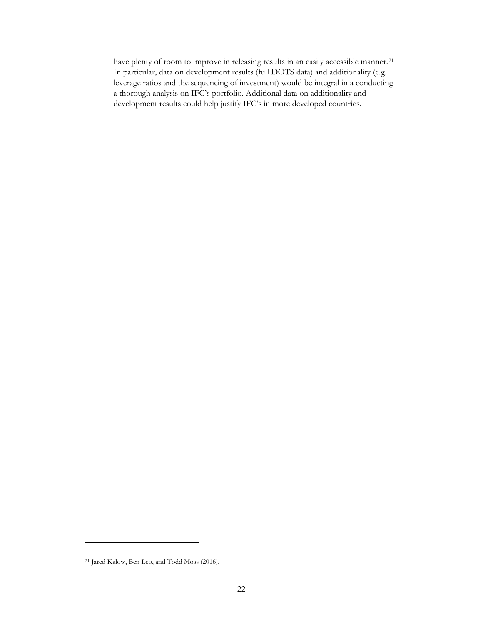have plenty of room to improve in releasing results in an easily accessible manner.<sup>[21](#page-23-0)</sup> In particular, data on development results (full DOTS data) and additionality (e.g. leverage ratios and the sequencing of investment) would be integral in a conducting a thorough analysis on IFC's portfolio. Additional data on additionality and development results could help justify IFC's in more developed countries.

<span id="page-23-0"></span><sup>21</sup> Jared Kalow, Ben Leo, and Todd Moss (2016).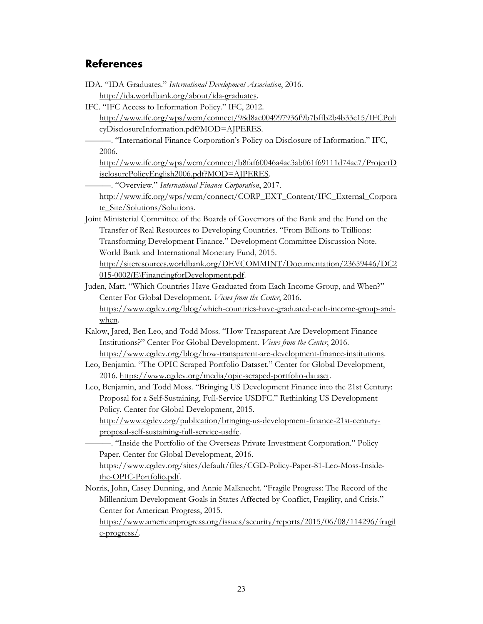## <span id="page-24-0"></span>**References**

- IDA. "IDA Graduates." *International Development Association*, 2016. http://ida.worldbank.org/about/ida-graduates.
- IFC. "IFC Access to Information Policy." IFC, 2012.

http://www.ifc.org/wps/wcm/connect/98d8ae004997936f9b7bffb2b4b33c15/IFCPoli cyDisclosureInformation.pdf?MOD=AJPERES.

———. "International Finance Corporation's Policy on Disclosure of Information." IFC, 2006.

http://www.ifc.org/wps/wcm/connect/b8faf60046a4ac3ab061f69111d74ae7/ProjectD isclosurePolicyEnglish2006.pdf?MOD=AJPERES.

———. "Overview." *International Finance Corporation*, 2017.

http://www.ifc.org/wps/wcm/connect/CORP\_EXT\_Content/IFC\_External\_Corpora te\_Site/Solutions/Solutions.

Joint Ministerial Committee of the Boards of Governors of the Bank and the Fund on the Transfer of Real Resources to Developing Countries. "From Billions to Trillions: Transforming Development Finance." Development Committee Discussion Note. World Bank and International Monetary Fund, 2015.

http://siteresources.worldbank.org/DEVCOMMINT/Documentation/23659446/DC2 015-0002(E)FinancingforDevelopment.pdf.

Juden, Matt. "Which Countries Have Graduated from Each Income Group, and When?" Center For Global Development. *Views from the Center*, 2016.

https://www.cgdev.org/blog/which-countries-have-graduated-each-income-group-andwhen.

- Kalow, Jared, Ben Leo, and Todd Moss. "How Transparent Are Development Finance Institutions?" Center For Global Development. *Views from the Center*, 2016. https://www.cgdev.org/blog/how-transparent-are-development-finance-institutions.
- Leo, Benjamin. "The OPIC Scraped Portfolio Dataset." Center for Global Development, 2016. https://www.cgdev.org/media/opic-scraped-portfolio-dataset.
- Leo, Benjamin, and Todd Moss. "Bringing US Development Finance into the 21st Century: Proposal for a Self-Sustaining, Full-Service USDFC." Rethinking US Development Policy. Center for Global Development, 2015.

http://www.cgdev.org/publication/bringing-us-development-finance-21st-centuryproposal-self-sustaining-full-service-usdfc.

———. "Inside the Portfolio of the Overseas Private Investment Corporation." Policy Paper. Center for Global Development, 2016.

https://www.cgdev.org/sites/default/files/CGD-Policy-Paper-81-Leo-Moss-Insidethe-OPIC-Portfolio.pdf.

Norris, John, Casey Dunning, and Annie Malknecht. "Fragile Progress: The Record of the Millennium Development Goals in States Affected by Conflict, Fragility, and Crisis." Center for American Progress, 2015.

https://www.americanprogress.org/issues/security/reports/2015/06/08/114296/fragil e-progress/.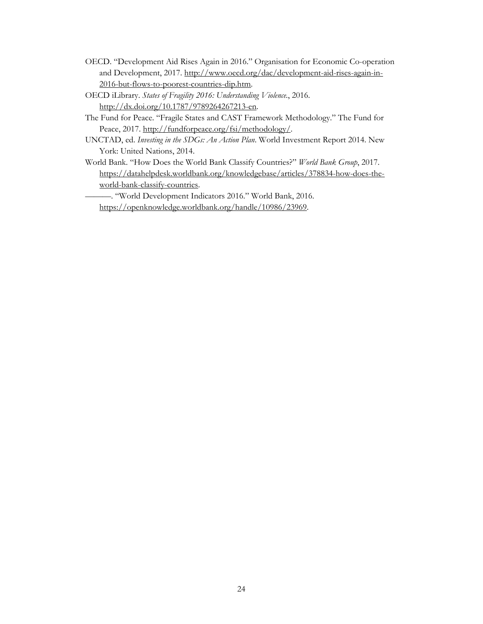- OECD. "Development Aid Rises Again in 2016." Organisation for Economic Co-operation and Development, 2017. http://www.oecd.org/dac/development-aid-rises-again-in-2016-but-flows-to-poorest-countries-dip.htm.
- OECD iLibrary. *States of Fragility 2016: Understanding Violence.*, 2016. http://dx.doi.org/10.1787/9789264267213-en.
- The Fund for Peace. "Fragile States and CAST Framework Methodology." The Fund for Peace, 2017. http://fundforpeace.org/fsi/methodology/.
- UNCTAD, ed. *Investing in the SDGs: An Action Plan*. World Investment Report 2014. New York: United Nations, 2014.
- World Bank. "How Does the World Bank Classify Countries?" *World Bank Group*, 2017. https://datahelpdesk.worldbank.org/knowledgebase/articles/378834-how-does-theworld-bank-classify-countries.

———. "World Development Indicators 2016." World Bank, 2016. https://openknowledge.worldbank.org/handle/10986/23969.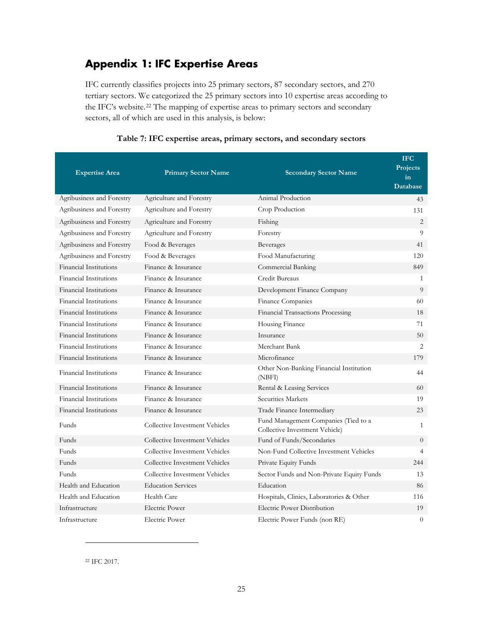## <span id="page-26-0"></span>**Appendix 1: IFC Expertise Areas**

IFC currently classifies projects into 25 primary sectors, 87 secondary sectors, and 270 tertiary sectors. We categorized the 25 primary sectors into 10 expertise areas according to the IFC's website.[22](#page-26-1) The mapping of expertise areas to primary sectors and secondary sectors, all of which are used in this analysis, is below:

| <b>Expertise Area</b>         | <b>Primary Sector Name</b>     | <b>Secondary Sector Name</b>                                           | <b>IFC</b><br>Projects<br>in<br><b>Database</b> |
|-------------------------------|--------------------------------|------------------------------------------------------------------------|-------------------------------------------------|
| Agribusiness and Forestry     | Agriculture and Forestry       | Animal Production                                                      | 43                                              |
| Agribusiness and Forestry     | Agriculture and Forestry       | Crop Production                                                        | 131                                             |
| Agribusiness and Forestry     | Agriculture and Forestry       | Fishing                                                                | 2                                               |
| Agribusiness and Forestry     | Agriculture and Forestry       | Forestry                                                               | 9                                               |
| Agribusiness and Forestry     | Food & Beverages               | Beverages                                                              | 41                                              |
| Agribusiness and Forestry     | Food & Beverages               | Food Manufacturing                                                     | 120                                             |
| Financial Institutions        | Finance & Insurance            | Commercial Banking                                                     | 849                                             |
| Financial Institutions        | Finance & Insurance            | Credit Bureaus                                                         | $\mathbf{1}$                                    |
| Financial Institutions        | Finance & Insurance            | Development Finance Company                                            | 9                                               |
| Financial Institutions        | Finance & Insurance            | Finance Companies                                                      | 60                                              |
| <b>Financial Institutions</b> | Finance & Insurance            | Financial Transactions Processing                                      | 18                                              |
| <b>Financial Institutions</b> | Finance & Insurance            | Housing Finance                                                        | 71                                              |
| <b>Financial Institutions</b> | Finance & Insurance            | Insurance                                                              | 50                                              |
| Financial Institutions        | Finance & Insurance            | Merchant Bank                                                          | 2                                               |
| Financial Institutions        | Finance & Insurance            | Microfinance                                                           | 179                                             |
| <b>Financial Institutions</b> | Finance & Insurance            | Other Non-Banking Financial Institution<br>(NBFI)                      | 44                                              |
| Financial Institutions        | Finance & Insurance            | Rental & Leasing Services                                              | 60                                              |
| <b>Financial Institutions</b> | Finance & Insurance            | Securities Markets                                                     | 19                                              |
| Financial Institutions        | Finance & Insurance            | Trade Finance Intermediary                                             | 23                                              |
| Funds                         | Collective Investment Vehicles | Fund Management Companies (Tied to a<br>Collective Investment Vehicle) | $\mathbf{1}$                                    |
| Funds                         | Collective Investment Vehicles | Fund of Funds/Secondaries                                              | $\Omega$                                        |
| Funds                         | Collective Investment Vehicles | Non-Fund Collective Investment Vehicles                                | $\overline{4}$                                  |
| Funds                         | Collective Investment Vehicles | Private Equity Funds                                                   | 244                                             |
| <b>Funds</b>                  | Collective Investment Vehicles | Sector Funds and Non-Private Equity Funds                              | 13                                              |
| Health and Education          | <b>Education Services</b>      | Education                                                              | 86                                              |
| Health and Education          | Health Care                    | Hospitals, Clinics, Laboratories & Other                               | 116                                             |
| Infrastructure                | Electric Power                 | <b>Electric Power Distribution</b>                                     | 19                                              |
| Infrastructure                | <b>Electric Power</b>          | Electric Power Funds (non RE)                                          | $\overline{0}$                                  |

#### **Table 7: IFC expertise areas, primary sectors, and secondary sectors**

<span id="page-26-1"></span><sup>22</sup> IFC 2017.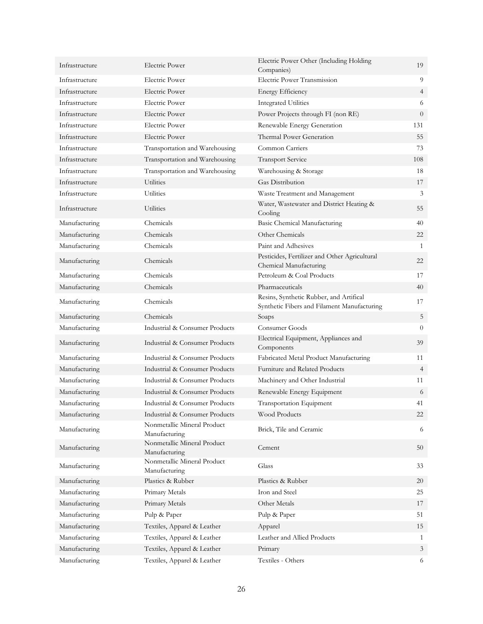| Infrastructure | <b>Electric Power</b>                        | Electric Power Other (Including Holding<br>Companies)                                  | 19             |
|----------------|----------------------------------------------|----------------------------------------------------------------------------------------|----------------|
| Infrastructure | <b>Electric Power</b>                        | Electric Power Transmission                                                            | 9              |
| Infrastructure | <b>Electric Power</b>                        | <b>Energy Efficiency</b>                                                               | $\overline{4}$ |
| Infrastructure | <b>Electric Power</b>                        | <b>Integrated Utilities</b>                                                            | 6              |
| Infrastructure | Electric Power                               | Power Projects through FI (non RE)                                                     | $\overline{0}$ |
| Infrastructure | <b>Electric Power</b>                        | Renewable Energy Generation                                                            | 131            |
| Infrastructure | <b>Electric Power</b>                        | Thermal Power Generation                                                               | 55             |
| Infrastructure | Transportation and Warehousing               | Common Carriers                                                                        | 73             |
| Infrastructure | Transportation and Warehousing               | <b>Transport Service</b>                                                               | 108            |
| Infrastructure | Transportation and Warehousing               | Warehousing & Storage                                                                  | 18             |
| Infrastructure | Utilities                                    | <b>Gas Distribution</b>                                                                | 17             |
| Infrastructure | <b>Utilities</b>                             | Waste Treatment and Management                                                         | 3              |
| Infrastructure | Utilities                                    | Water, Wastewater and District Heating &<br>Cooling                                    | 55             |
| Manufacturing  | Chemicals                                    | Basic Chemical Manufacturing                                                           | 40             |
| Manufacturing  | Chemicals                                    | Other Chemicals                                                                        | 22             |
| Manufacturing  | Chemicals                                    | Paint and Adhesives                                                                    | 1              |
| Manufacturing  | Chemicals                                    | Pesticides, Fertilizer and Other Agricultural<br>Chemical Manufacturing                | 22             |
| Manufacturing  | Chemicals                                    | Petroleum & Coal Products                                                              | 17             |
| Manufacturing  | Chemicals                                    | Pharmaceuticals                                                                        | 40             |
| Manufacturing  | Chemicals                                    | Resins, Synthetic Rubber, and Artifical<br>Synthetic Fibers and Filament Manufacturing | 17             |
| Manufacturing  | Chemicals                                    | Soaps                                                                                  | 5              |
| Manufacturing  | Industrial & Consumer Products               | Consumer Goods                                                                         | $\theta$       |
| Manufacturing  | Industrial & Consumer Products               | Electrical Equipment, Appliances and<br>Components                                     | 39             |
| Manufacturing  | Industrial & Consumer Products               | Fabricated Metal Product Manufacturing                                                 | 11             |
| Manufacturing  | Industrial & Consumer Products               | Furniture and Related Products                                                         | $\overline{4}$ |
| Manufacturing  | Industrial & Consumer Products               | Machinery and Other Industrial                                                         | 11             |
| Manufacturing  | Industrial & Consumer Products               | Renewable Energy Equipment                                                             | 6              |
| Manufacturing  | Industrial & Consumer Products               | Transportation Equipment                                                               | 41             |
| Manufacturing  | Industrial & Consumer Products               | <b>Wood Products</b>                                                                   | 22             |
| Manufacturing  | Nonmetallic Mineral Product<br>Manufacturing | Brick, Tile and Ceramic                                                                | 6              |
| Manufacturing  | Nonmetallic Mineral Product<br>Manufacturing | Cement                                                                                 | 50             |
| Manufacturing  | Nonmetallic Mineral Product<br>Manufacturing | Glass                                                                                  | 33             |
| Manufacturing  | Plastics & Rubber                            | Plastics & Rubber                                                                      | 20             |
| Manufacturing  | Primary Metals                               | Iron and Steel                                                                         | 25             |
| Manufacturing  | Primary Metals                               | Other Metals                                                                           | 17             |
| Manufacturing  | Pulp & Paper                                 | Pulp & Paper                                                                           | 51             |
| Manufacturing  | Textiles, Apparel & Leather                  | Apparel                                                                                | 15             |
| Manufacturing  | Textiles, Apparel & Leather                  | Leather and Allied Products                                                            | $\mathbf{1}$   |
| Manufacturing  | Textiles, Apparel & Leather                  | Primary                                                                                | $\mathfrak{Z}$ |
| Manufacturing  | Textiles, Apparel & Leather                  | Textiles - Others                                                                      | 6              |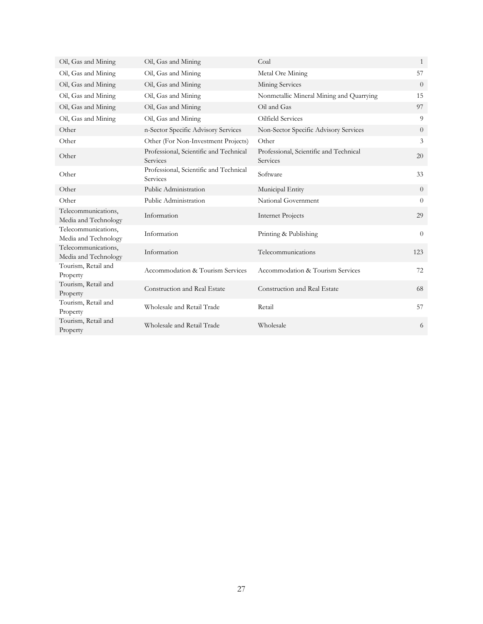| Oil, Gas and Mining                         | Oil, Gas and Mining                                | Coal                                               | 1        |
|---------------------------------------------|----------------------------------------------------|----------------------------------------------------|----------|
| Oil, Gas and Mining                         | Oil, Gas and Mining                                | Metal Ore Mining                                   | 57       |
| Oil, Gas and Mining                         | Oil, Gas and Mining                                | Mining Services                                    | $\theta$ |
| Oil, Gas and Mining                         | Oil, Gas and Mining                                | Nonmetallic Mineral Mining and Quarrying           | 15       |
| Oil, Gas and Mining                         | Oil, Gas and Mining                                | Oil and Gas                                        | 97       |
| Oil, Gas and Mining                         | Oil, Gas and Mining                                | Oilfield Services                                  | 9        |
| Other                                       | n-Sector Specific Advisory Services                | Non-Sector Specific Advisory Services              | $\Omega$ |
| Other                                       | Other (For Non-Investment Projects)                | Other                                              | 3        |
| Other                                       | Professional, Scientific and Technical<br>Services | Professional, Scientific and Technical<br>Services | 20       |
| Other                                       | Professional, Scientific and Technical<br>Services | Software                                           | 33       |
| Other                                       | Public Administration                              | Municipal Entity                                   | $\theta$ |
| Other                                       | Public Administration                              | National Government                                | $\theta$ |
| Telecommunications,<br>Media and Technology | Information                                        | Internet Projects                                  | 29       |
| Telecommunications,<br>Media and Technology | Information                                        | Printing & Publishing                              | $\theta$ |
| Telecommunications,<br>Media and Technology | Information                                        | Telecommunications                                 | 123      |
| Tourism, Retail and<br>Property             | Accommodation & Tourism Services                   | Accommodation & Tourism Services                   | 72       |
| Tourism, Retail and<br>Property             | Construction and Real Estate                       | Construction and Real Estate                       | 68       |
| Tourism, Retail and<br>Property             | Wholesale and Retail Trade                         | Retail                                             | 57       |
| Tourism, Retail and<br>Property             | Wholesale and Retail Trade                         | Wholesale                                          | 6        |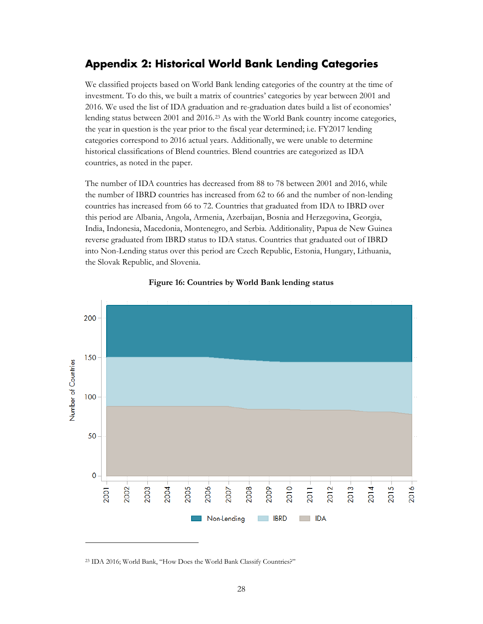## <span id="page-29-0"></span>**Appendix 2: Historical World Bank Lending Categories**

We classified projects based on World Bank lending categories of the country at the time of investment. To do this, we built a matrix of countries' categories by year between 2001 and 2016. We used the list of IDA graduation and re-graduation dates build a list of economies' lending status between 2001 and 2016.[23](#page-29-1) As with the World Bank country income categories, the year in question is the year prior to the fiscal year determined; i.e. FY2017 lending categories correspond to 2016 actual years. Additionally, we were unable to determine historical classifications of Blend countries. Blend countries are categorized as IDA countries, as noted in the paper.

The number of IDA countries has decreased from 88 to 78 between 2001 and 2016, while the number of IBRD countries has increased from 62 to 66 and the number of non-lending countries has increased from 66 to 72. Countries that graduated from IDA to IBRD over this period are Albania, Angola, Armenia, Azerbaijan, Bosnia and Herzegovina, Georgia, India, Indonesia, Macedonia, Montenegro, and Serbia. Additionality, Papua de New Guinea reverse graduated from IBRD status to IDA status. Countries that graduated out of IBRD into Non-Lending status over this period are Czech Republic, Estonia, Hungary, Lithuania, the Slovak Republic, and Slovenia.





<span id="page-29-1"></span><sup>23</sup> IDA 2016; World Bank, "How Does the World Bank Classify Countries?"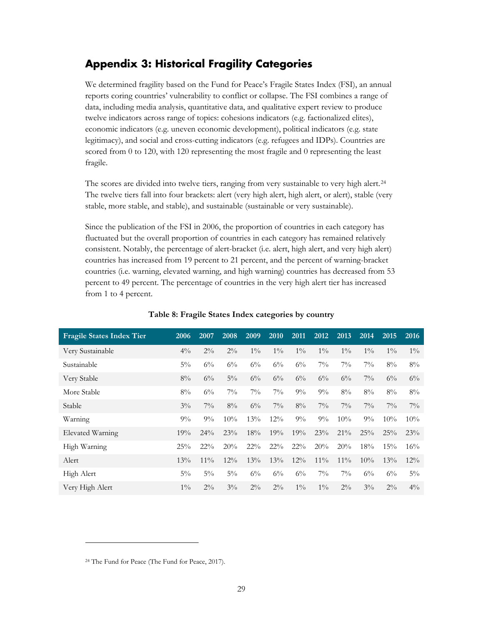## <span id="page-30-0"></span>**Appendix 3: Historical Fragility Categories**

We determined fragility based on the Fund for Peace's Fragile States Index (FSI), an annual reports coring countries' vulnerability to conflict or collapse. The FSI combines a range of data, including media analysis, quantitative data, and qualitative expert review to produce twelve indicators across range of topics: cohesions indicators (e.g. factionalized elites), economic indicators (e.g. uneven economic development), political indicators (e.g. state legitimacy), and social and cross-cutting indicators (e.g. refugees and IDPs). Countries are scored from 0 to 120, with 120 representing the most fragile and 0 representing the least fragile.

The scores are divided into twelve tiers, ranging from very sustainable to very high alert.<sup>[24](#page-30-1)</sup> The twelve tiers fall into four brackets: alert (very high alert, high alert, or alert), stable (very stable, more stable, and stable), and sustainable (sustainable or very sustainable).

Since the publication of the FSI in 2006, the proportion of countries in each category has fluctuated but the overall proportion of countries in each category has remained relatively consistent. Notably, the percentage of alert-bracket (i.e. alert, high alert, and very high alert) countries has increased from 19 percent to 21 percent, and the percent of warning-bracket countries (i.e. warning, elevated warning, and high warning) countries has decreased from 53 percent to 49 percent. The percentage of countries in the very high alert tier has increased from 1 to 4 percent.

| <b>Fragile States Index Tier</b> | 2006   | 2007   | 2008   | 2009   | 2010   | 2011   | 2012   | 2013   | 2014  | 2015  | 2016   |
|----------------------------------|--------|--------|--------|--------|--------|--------|--------|--------|-------|-------|--------|
| Very Sustainable                 | $4\%$  | $2\%$  | $2\%$  | $1\%$  | $1\%$  | $1\%$  | $1\%$  | $1\%$  | $1\%$ | $1\%$ | $1\%$  |
| Sustainable                      | $5\%$  | $6\%$  | $6\%$  | $6\%$  | $6\%$  | $6\%$  | $7\%$  | $7\%$  | $7\%$ | $8\%$ | $8\%$  |
| Very Stable                      | $8\%$  | $6\%$  | $5\%$  | $6\%$  | $6\%$  | $6\%$  | $6\%$  | $6\%$  | $7\%$ | $6\%$ | $6\%$  |
| More Stable                      | $8\%$  | $6\%$  | $7\%$  | $7\%$  | $7\%$  | $9\%$  | $9\%$  | $8\%$  | $8\%$ | $8\%$ | $8\%$  |
| Stable                           | $3\%$  | $7\%$  | $8\%$  | $6\%$  | $7\%$  | $8\%$  | $7\%$  | $7\%$  | $7\%$ | $7\%$ | $7\%$  |
| Warning                          | $9\%$  | $9\%$  | 10%    | 13%    | $12\%$ | $9\%$  | $9\%$  | 10%    | $9\%$ | 10%   | 10%    |
| Elevated Warning                 | 19%    | $24\%$ | 23%    | 18%    | 19%    | 19%    | 23%    | $21\%$ | 25%   | 25%   | $23\%$ |
| High Warning                     | 25%    | $22\%$ | 20%    | $22\%$ | $22\%$ | $22\%$ | 20%    | 20%    | 18%   | 15%   | 16%    |
| Alert                            | $13\%$ | $11\%$ | $12\%$ | 13%    | 13%    | $12\%$ | $11\%$ | $11\%$ | 10%   | 13%   | $12\%$ |
| High Alert                       | $5\%$  | $5\%$  | $5\%$  | $6\%$  | $6\%$  | $6\%$  | $7\%$  | $7\%$  | $6\%$ | $6\%$ | $5\%$  |
| Very High Alert                  | $1\%$  | $2\%$  | $3\%$  | $2\%$  | $2\%$  | $1\%$  | $1\%$  | $2\%$  | $3\%$ | $2\%$ | $4\%$  |

#### **Table 8: Fragile States Index categories by country**

<span id="page-30-1"></span><sup>24</sup> The Fund for Peace (The Fund for Peace, 2017).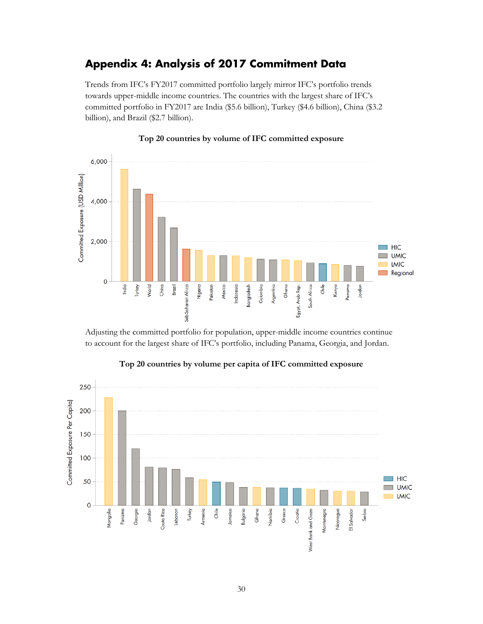## <span id="page-31-0"></span>**Appendix 4: Analysis of 2017 Commitment Data**

Trends from IFC's FY2017 committed portfolio largely mirror IFC's portfolio trends towards upper-middle income countries. The countries with the largest share of IFC's committed portfolio in FY2017 are India (\$5.6 billion), Turkey (\$4.6 billion), China (\$3.2 billion), and Brazil (\$2.7 billion).



#### **Top 20 countries by volume of IFC committed exposure**

Adjusting the committed portfolio for population, upper-middle income countries continue to account for the largest share of IFC's portfolio, including Panama, Georgia, and Jordan.



#### **Top 20 countries by volume per capita of IFC committed exposure**